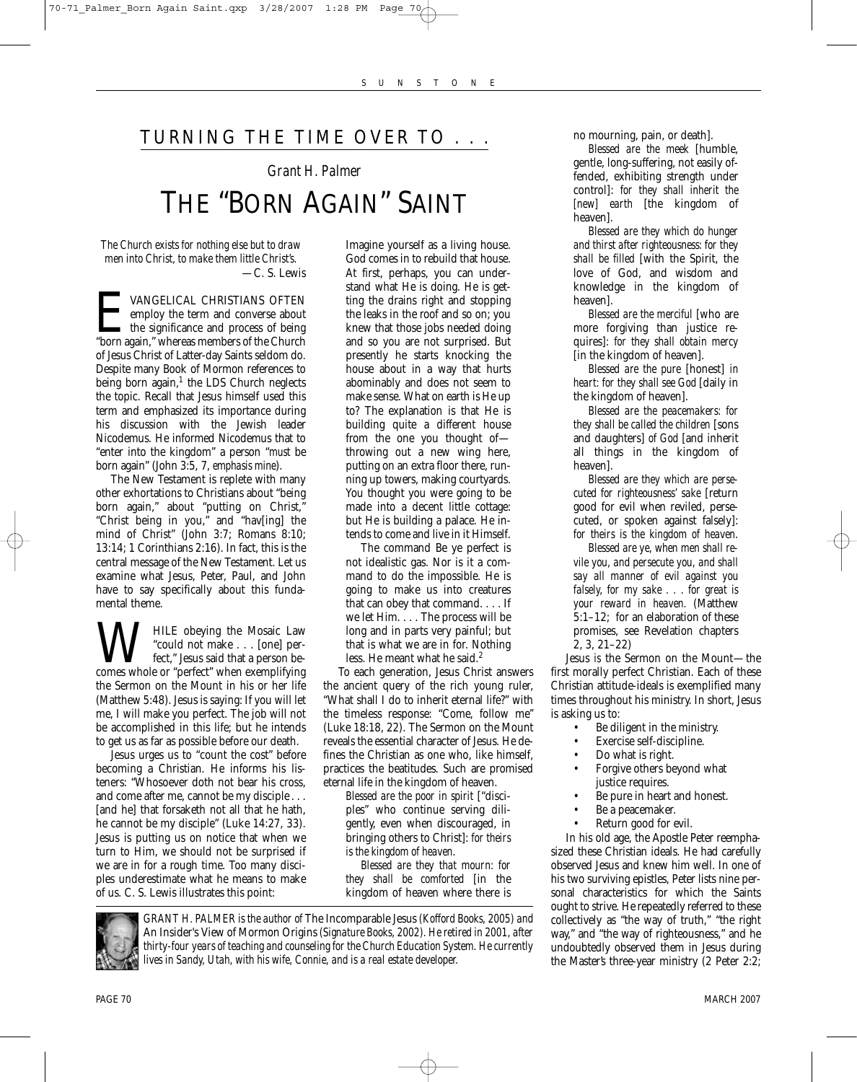## TURNING THE TIME OVER TO . . .

## *Grant H. Palmer* THE "BORN AGAIN" SAINT

*The Church exists for nothing else but to draw men into Christ, to make them little Christ's.* —C. S. Lewis

E VANGELICAL CHRISTIANS OFTEN "born again," whereas members of the Church employ the term and converse about  $\blacktriangle$  the significance and process of being of Jesus Christ of Latter-day Saints seldom do. Despite many Book of Mormon references to being born again, $<sup>1</sup>$  the LDS Church neglects</sup> the topic. Recall that Jesus himself used this term and emphasized its importance during his discussion with the Jewish leader Nicodemus. He informed Nicodemus that to "enter into the kingdom" a person "*must* be born again" (John 3:5, 7, *emphasis mine*).

The New Testament is replete with many other exhortations to Christians about "being born again," about "putting on Christ," "Christ being in you," and "hav[ing] the mind of Christ" (John 3:7; Romans 8:10; 13:14; 1 Corinthians 2:16). In fact, this is the central message of the New Testament. Let us examine what Jesus, Peter, Paul, and John have to say specifically about this fundamental theme.

**W** HILE obeying the Mosaic Law<br>
"could not make . . . [one] per-<br>
comes whole or "perfect" when exemplifying "could not make . . . [one] perfect," Jesus said that a person bethe Sermon on the Mount in his or her life (Matthew 5:48). Jesus is saying: If you will let me, I will make you perfect. The job will not be accomplished in this life; but he intends to get us as far as possible before our death.

Jesus urges us to "count the cost" before becoming a Christian. He informs his listeners: "Whosoever doth not bear his cross, and come after me, cannot be my disciple . . . [and he] that forsaketh not all that he hath, he cannot be my disciple" (Luke 14:27, 33). Jesus is putting us on notice that when we turn to Him, we should not be surprised if we are in for a rough time. Too many disciples underestimate what he means to make of us. C. S. Lewis illustrates this point:

Imagine yourself as a living house. God comes in to rebuild that house. At first, perhaps, you can understand what He is doing. He is getting the drains right and stopping the leaks in the roof and so on; you knew that those jobs needed doing and so you are not surprised. But presently he starts knocking the house about in a way that hurts abominably and does not seem to make sense. What on earth is He up to? The explanation is that He is building quite a different house from the one you thought of throwing out a new wing here, putting on an extra floor there, running up towers, making courtyards. You thought you were going to be made into a decent little cottage: but He is building a palace. He intends to come and live in it Himself.

The command Be ye perfect is not idealistic gas. Nor is it a command to do the impossible. He is going to make us into creatures that can obey that command. . . . If we let Him. . . . The process will be long and in parts very painful; but that is what we are in for. Nothing less. He meant what he said.<sup>2</sup>

To each generation, Jesus Christ answers the ancient query of the rich young ruler, "What shall I do to inherit eternal life?" with the timeless response: "Come, follow me'' (Luke 18:18, 22). The Sermon on the Mount reveals the essential character of Jesus. He defines the Christian as one who, like himself, practices the beatitudes. Such are promised eternal life in the kingdom of heaven.

*Blessed are the poor in spirit* ["disciples" who continue serving diligently, even when discouraged, in bringing others to Christ]: *for theirs is the kingdom of heaven*.

*Blessed are they that mourn: for they shall be comforted* [in the kingdom of heaven where there is



*GRANT H. PALMER is the author of* The Incomparable Jesus *(Kofford Books, 2005) and* An Insider's View of Mormon Origins *(Signature Books, 2002). He retired in 2001, after thirty-four years of teaching and counseling for the Church Education System. He currently lives in Sandy, Utah, with his wife, Connie, and is a real estate developer.*

no mourning, pain, or death].

*Blessed are the meek* [humble, gentle, long-suffering, not easily offended, exhibiting strength under control]: *for they shall inherit the [new] earth* [the kingdom of heaven].

*Blessed are they which do hunger and thirst after righteousness: for they shall be filled* [with the Spirit, the love of God, and wisdom and knowledge in the kingdom of heaven].

*Blessed are the merciful* [who are more forgiving than justice requires]: *for they shall obtain mercy* [in the kingdom of heaven].

*Blessed are the pure* [honest] *in heart: for they shall see God* [daily in the kingdom of heaven].

*Blessed are the peacemakers: for they shall be called the children* [sons and daughters] *of God* [and inherit all things in the kingdom of heaven].

*Blessed are they which are persecuted for righteousness' sake* [return good for evil when reviled, persecuted, or spoken against falsely]: *for theirs is the kingdom of heaven*.

*Blessed are ye, when men shall revile you, and persecute you, and shall say all manner of evil against you falsely, for my sake . . . for great is your reward in heaven.* (Matthew 5:1–12; for an elaboration of these promises, see Revelation chapters 2, 3, 21–22)

Jesus *is* the Sermon on the Mount—the first morally perfect Christian. Each of these Christian attitude-ideals is exemplified many times throughout his ministry. In short, Jesus is asking us to:

- Be diligent in the ministry.
- Exercise self-discipline.
- Do what is right.
- Forgive others beyond what justice requires.
- Be pure in heart and honest.
- Be a peacemaker.
- Return good for evil.

In his old age, the Apostle Peter reemphasized these Christian ideals. He had carefully observed Jesus and knew him well. In one of his two surviving epistles, Peter lists nine personal characteristics for which the Saints ought to strive. He repeatedly referred to these collectively as "the way of truth," "the right way," and "the way of righteousness," and he undoubtedly observed them in Jesus during the Master's three-year ministry (2 Peter 2:2;